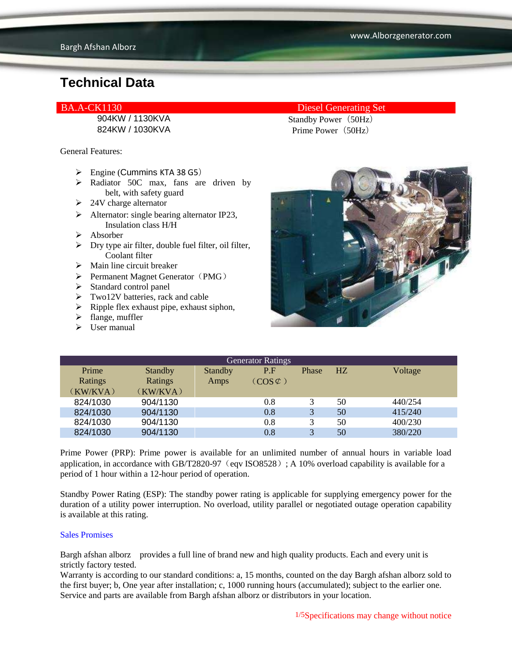824KW / 1030KVA Prime Power (50Hz)

General Features:

- $\triangleright$  Engine (Cummins KTA 38 G5)
- A Radiator 50C max, fans are driven by belt, with safety guard
- $\geq$  24V charge alternator
- $\triangleright$  Alternator: single bearing alternator IP23, Insulation class H/H
- $\triangleright$  Absorber
- $\triangleright$  Dry type air filter, double fuel filter, oil filter, Coolant filter
- $\triangleright$  Main line circuit breaker
- $\triangleright$  Permanent Magnet Generator (PMG)
- $\triangleright$  Standard control panel
- $\triangleright$  Two12V batteries, rack and cable
- $\triangleright$  Ripple flex exhaust pipe, exhaust siphon,
- $\blacktriangleright$  flange, muffler
- $\triangleright$  User manual

BA.A-CK1130 Diesel Generating Set 904KW / 1130KVA Standby Power (50Hz)



| <b>Generator Ratings</b> |                |                |                     |       |    |         |
|--------------------------|----------------|----------------|---------------------|-------|----|---------|
| Prime                    | <b>Standby</b> | <b>Standby</b> | P.F                 | Phase | HZ | Voltage |
| Ratings                  | Ratings        | Amps           | $(COS \mathcal{L})$ |       |    |         |
| (KW/KVA)                 | (KW/KVA)       |                |                     |       |    |         |
| 824/1030                 | 904/1130       |                | 0.8                 | 3     | 50 | 440/254 |
| 824/1030                 | 904/1130       |                | 0.8                 | 3     | 50 | 415/240 |
| 824/1030                 | 904/1130       |                | 0.8                 | 3     | 50 | 400/230 |
| 824/1030                 | 904/1130       |                | 0.8                 | 3     | 50 | 380/220 |
|                          |                |                |                     |       |    |         |

Prime Power (PRP): Prime power is available for an unlimited number of annual hours in variable load application, in accordance with GB/T2820-97 (eqv ISO8528); A 10% overload capability is available for a period of 1 hour within a 12-hour period of operation.

Standby Power Rating (ESP): The standby power rating is applicable for supplying emergency power for the duration of a utility power interruption. No overload, utility parallel or negotiated outage operation capability is available at this rating.

#### Sales Promises

Bargh afshan alborz provides a full line of brand new and high quality products. Each and every unit is strictly factory tested.

Warranty is according to our standard conditions: a, 15 months, counted on the day Bargh afshan alborz sold to the first buyer; b, One year after installation; c, 1000 running hours (accumulated); subject to the earlier one. Service and parts are available from Bargh afshan alborz or distributors in your location.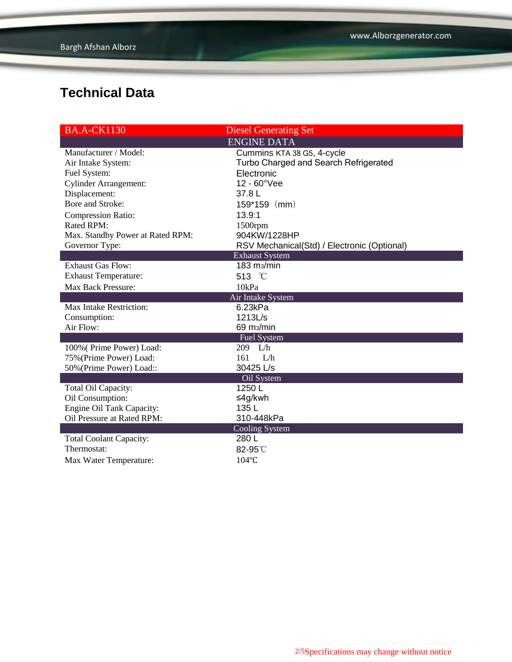| <b>BA.A-CK1130</b>               | <b>Diesel Generating Set</b>                |  |  |
|----------------------------------|---------------------------------------------|--|--|
|                                  | <b>ENGINE DATA</b>                          |  |  |
| Manufacturer / Model:            | Cummins KTA 38 G5, 4-cycle                  |  |  |
| Air Intake System:               | Turbo Charged and Search Refrigerated       |  |  |
| Fuel System:                     | Electronic                                  |  |  |
| <b>Cylinder Arrangement:</b>     | 12 - 60°Vee                                 |  |  |
| Displacement:                    | 37.8 L                                      |  |  |
| Bore and Stroke:                 | $159*159$ (mm)                              |  |  |
| <b>Compression Ratio:</b>        | 13.9:1                                      |  |  |
| Rated RPM:                       | 1500rpm                                     |  |  |
| Max. Standby Power at Rated RPM: | 904KW/1228HP                                |  |  |
| Governor Type:                   | RSV Mechanical(Std) / Electronic (Optional) |  |  |
|                                  | <b>Exhaust System</b>                       |  |  |
| <b>Exhaust Gas Flow:</b>         | 183 m <sub>3</sub> /min                     |  |  |
| <b>Exhaust Temperature:</b>      | 513 °C                                      |  |  |
| <b>Max Back Pressure:</b>        | 10kPa                                       |  |  |
|                                  | Air Intake System                           |  |  |
| Max Intake Restriction:          | 6.23kPa                                     |  |  |
| Consumption:                     | 1213L/s                                     |  |  |
| Air Flow:                        | 69 m <sub>3</sub> /min                      |  |  |
|                                  | <b>Fuel System</b>                          |  |  |
| 100% (Prime Power) Load:         | 209 L/h                                     |  |  |
| 75% (Prime Power) Load:          | 161<br>I/h                                  |  |  |
| 50% (Prime Power) Load::         | 30425 L/s                                   |  |  |
|                                  | Oil System                                  |  |  |
| Total Oil Capacity:              | 1250L                                       |  |  |
| Oil Consumption:                 | ≤4g/kwh                                     |  |  |
| Engine Oil Tank Capacity:        | 135L                                        |  |  |
| Oil Pressure at Rated RPM:       | 310-448kPa                                  |  |  |
|                                  | <b>Cooling System</b>                       |  |  |
| <b>Total Coolant Capacity:</b>   | 280L                                        |  |  |
| Thermostat:                      | 82-95°C                                     |  |  |
| Max Water Temperature:           | $104$ °C                                    |  |  |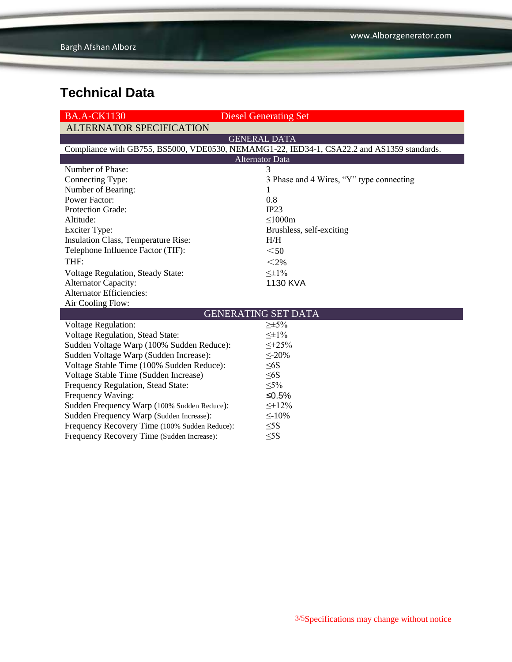| <b>BA.A-CK1130</b>                                                                         | <b>Diesel Generating Set</b>             |  |  |  |  |
|--------------------------------------------------------------------------------------------|------------------------------------------|--|--|--|--|
| <b>ALTERNATOR SPECIFICATION</b>                                                            |                                          |  |  |  |  |
|                                                                                            | <b>GENERAL DATA</b>                      |  |  |  |  |
| Compliance with GB755, BS5000, VDE0530, NEMAMG1-22, IED34-1, CSA22.2 and AS1359 standards. |                                          |  |  |  |  |
| <b>Alternator Data</b>                                                                     |                                          |  |  |  |  |
| Number of Phase:                                                                           | 3                                        |  |  |  |  |
| Connecting Type:                                                                           | 3 Phase and 4 Wires, "Y" type connecting |  |  |  |  |
| Number of Bearing:                                                                         |                                          |  |  |  |  |
| <b>Power Factor:</b>                                                                       | 0.8                                      |  |  |  |  |
| Protection Grade:                                                                          | IP23                                     |  |  |  |  |
| Altitude:                                                                                  | $\leq$ 1000m                             |  |  |  |  |
| <b>Exciter Type:</b>                                                                       | Brushless, self-exciting                 |  |  |  |  |
| Insulation Class, Temperature Rise:                                                        | H/H                                      |  |  |  |  |
| Telephone Influence Factor (TIF):                                                          | $50$                                     |  |  |  |  |
| THF:                                                                                       | $<$ 2%                                   |  |  |  |  |
| Voltage Regulation, Steady State:                                                          | $\leq \pm 1\%$                           |  |  |  |  |
| <b>Alternator Capacity:</b>                                                                | 1130 KVA                                 |  |  |  |  |
| <b>Alternator Efficiencies:</b>                                                            |                                          |  |  |  |  |
| Air Cooling Flow:                                                                          |                                          |  |  |  |  |
|                                                                                            | <b>GENERATING SET DATA</b>               |  |  |  |  |
| <b>Voltage Regulation:</b>                                                                 | $\geq \pm 5\%$                           |  |  |  |  |
| <b>Voltage Regulation, Stead State:</b>                                                    | $\leq \pm 1\%$                           |  |  |  |  |
| Sudden Voltage Warp (100% Sudden Reduce):                                                  | $\leq +25\%$                             |  |  |  |  |
| Sudden Voltage Warp (Sudden Increase):                                                     | $\leq$ -20%                              |  |  |  |  |
| Voltage Stable Time (100% Sudden Reduce):                                                  | $\leq 6S$                                |  |  |  |  |
| Voltage Stable Time (Sudden Increase)                                                      | $\leq 6S$                                |  |  |  |  |
| Frequency Regulation, Stead State:                                                         | $\leq 5\%$                               |  |  |  |  |
| Frequency Waving:                                                                          | ≤ $0.5%$                                 |  |  |  |  |
| Sudden Frequency Warp (100% Sudden Reduce):                                                | $\leq +12\%$                             |  |  |  |  |
| Sudden Frequency Warp (Sudden Increase):                                                   | $\leq$ -10%                              |  |  |  |  |
| Frequency Recovery Time (100% Sudden Reduce):                                              | $\leq$ 5S                                |  |  |  |  |
| Frequency Recovery Time (Sudden Increase):                                                 | $\leq$ 5S                                |  |  |  |  |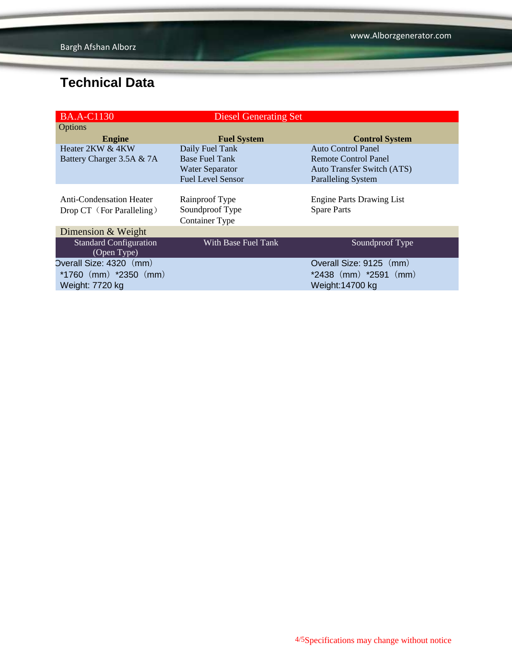| <b>BA.A-C1130</b>               | <b>Diesel Generating Set</b> |                                   |
|---------------------------------|------------------------------|-----------------------------------|
| Options                         |                              |                                   |
| <b>Engine</b>                   | <b>Fuel System</b>           | <b>Control System</b>             |
| Heater 2KW & 4KW                | Daily Fuel Tank              | Auto Control Panel                |
| Battery Charger 3.5A & 7A       | <b>Base Fuel Tank</b>        | Remote Control Panel              |
|                                 | <b>Water Separator</b>       | <b>Auto Transfer Switch (ATS)</b> |
|                                 | <b>Fuel Level Sensor</b>     | <b>Paralleling System</b>         |
|                                 |                              |                                   |
| <b>Anti-Condensation Heater</b> | Rainproof Type               | <b>Engine Parts Drawing List</b>  |
| Drop CT (For Paralleling)       | Soundproof Type              | <b>Spare Parts</b>                |
|                                 | <b>Container Type</b>        |                                   |
| Dimension & Weight              |                              |                                   |
| <b>Standard Configuration</b>   | With Base Fuel Tank          | Soundproof Type                   |
| (Open Type)                     |                              |                                   |
| Overall Size: 4320 (mm)         |                              | Overall Size: 9125 (mm)           |
| $*1760$ (mm) $*2350$ (mm)       |                              | $*2438$ (mm) $*2591$ (mm)         |
| Weight: 7720 kg                 |                              | Weight:14700 kg                   |